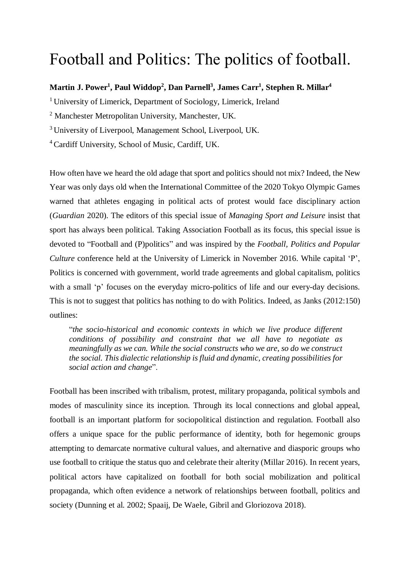## Football and Politics: The politics of football.

## Martin J. Power<sup>1</sup>, Paul Widdop<sup>2</sup>, Dan Parnell<sup>3</sup>, James Carr<sup>1</sup>, Stephen R. Millar<sup>4</sup>

<sup>1</sup> University of Limerick, Department of Sociology, Limerick, Ireland

<sup>2</sup> Manchester Metropolitan University, Manchester, UK.

<sup>3</sup> University of Liverpool, Management School, Liverpool, UK.

<sup>4</sup> Cardiff University, School of Music, Cardiff, UK.

How often have we heard the old adage that sport and politics should not mix? Indeed, the New Year was only days old when the International Committee of the 2020 Tokyo Olympic Games warned that athletes engaging in political acts of protest would face disciplinary action (*Guardian* 2020). The editors of this special issue of *Managing Sport and Leisure* insist that sport has always been political. Taking Association Football as its focus, this special issue is devoted to "Football and (P)politics" and was inspired by the *Football, Politics and Popular Culture* conference held at the University of Limerick in November 2016. While capital 'P', Politics is concerned with government, world trade agreements and global capitalism, politics with a small 'p' focuses on the everyday micro-politics of life and our every-day decisions. This is not to suggest that politics has nothing to do with Politics. Indeed, as Janks (2012:150) outlines:

"*the socio-historical and economic contexts in which we live produce different conditions of possibility and constraint that we all have to negotiate as meaningfully as we can. While the social constructs who we are, so do we construct the social. This dialectic relationship isfluid and dynamic, creating possibilities for social action and change*".

Football has been inscribed with tribalism, protest, military propaganda, political symbols and modes of masculinity since its inception. Through its local connections and global appeal, football is an important platform for sociopolitical distinction and regulation. Football also offers a unique space for the public performance of identity, both for hegemonic groups attempting to demarcate normative cultural values, and alternative and diasporic groups who use football to critique the status quo and celebrate their alterity (Millar 2016). In recent years, political actors have capitalized on football for both social mobilization and political propaganda, which often evidence a network of relationships between football, politics and society (Dunning et al. 2002; Spaaij, De Waele, Gibril and Gloriozova 2018).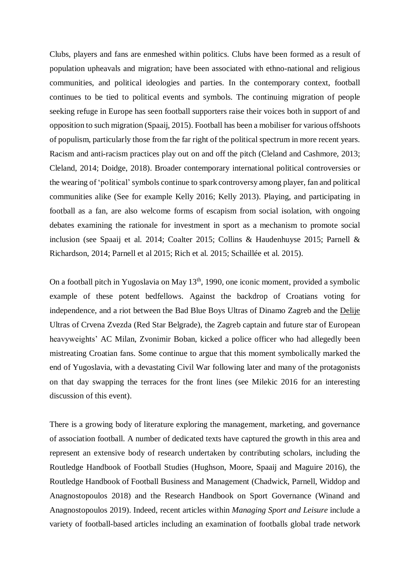Clubs, players and fans are enmeshed within politics. Clubs have been formed as a result of population upheavals and migration; have been associated with ethno-national and religious communities, and political ideologies and parties. In the contemporary context, football continues to be tied to political events and symbols. The continuing migration of people seeking refuge in Europe has seen football supporters raise their voices both in support of and opposition to such migration (Spaaij, 2015). Football has been a mobiliser for various offshoots of populism, particularly those from the far right of the political spectrum in more recent years. Racism and anti-racism practices play out on and off the pitch (Cleland and Cashmore, 2013; Cleland, 2014; Doidge, 2018). Broader contemporary international political controversies or the wearing of 'political'symbols continue to spark controversy among player, fan and political communities alike (See for example Kelly 2016; Kelly 2013). Playing, and participating in football as a fan, are also welcome forms of escapism from social isolation, with ongoing debates examining the rationale for investment in sport as a mechanism to promote social inclusion (see Spaaij et al. 2014; Coalter 2015; Collins & Haudenhuyse 2015; Parnell & Richardson, 2014; Parnell et al 2015; Rich et al. 2015; Schaillée et al. 2015).

On a football pitch in Yugoslavia on May 13<sup>th</sup>, 1990, one iconic moment, provided a symbolic example of these potent bedfellows. Against the backdrop of Croatians voting for independence, and a riot between the Bad Blue Boys Ultras of Dinamo Zagreb and the [Delije](https://en.wikipedia.org/wiki/Delije) Ultras of Crvena Zvezda (Red Star Belgrade), the Zagreb captain and future star of European heavyweights' AC Milan, Zvonimir Boban, kicked a police officer who had allegedly been mistreating Croatian fans. Some continue to argue that this moment symbolically marked the end of Yugoslavia, with a devastating Civil War following later and many of the protagonists on that day swapping the terraces for the front lines (see Milekic 2016 for an interesting discussion of this event).

There is a growing body of literature exploring the management, marketing, and governance of association football. A number of dedicated texts have captured the growth in this area and represent an extensive body of research undertaken by contributing scholars, including the Routledge Handbook of Football Studies (Hughson, Moore, Spaaij and Maguire 2016), the Routledge Handbook of Football Business and Management (Chadwick, Parnell, Widdop and Anagnostopoulos 2018) and the Research Handbook on Sport Governance (Winand and Anagnostopoulos 2019). Indeed, recent articles within *Managing Sport and Leisure* include a variety of football-based articles including an examination of footballs global trade network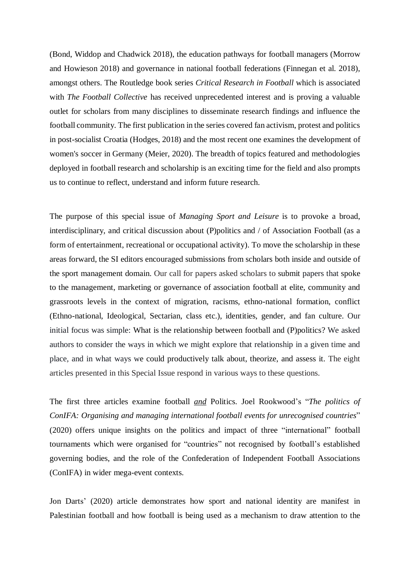(Bond, Widdop and Chadwick 2018), the education pathways for football managers (Morrow and Howieson 2018) and governance in national football federations (Finnegan et al. 2018), amongst others. The Routledge book series *Critical Research in Football* which is associated with *The Football Collective* has received unprecedented interest and is proving a valuable outlet for scholars from many disciplines to disseminate research findings and influence the football community. The first publication in the series covered fan activism, protest and politics in post-socialist Croatia (Hodges, 2018) and the most recent one examines the development of women's soccer in Germany (Meier, 2020). The breadth of topics featured and methodologies deployed in football research and scholarship is an exciting time for the field and also prompts us to continue to reflect, understand and inform future research.

The purpose of this special issue of *Managing Sport and Leisure* is to provoke a broad, interdisciplinary, and critical discussion about (P)politics and / of Association Football (as a form of entertainment, recreational or occupational activity). To move the scholarship in these areas forward, the SI editors encouraged submissions from scholars both inside and outside of the sport management domain. Our call for papers asked scholars to submit papers that spoke to the management, marketing or governance of association football at elite, community and grassroots levels in the context of migration, racisms, ethno-national formation, conflict (Ethno-national, Ideological, Sectarian, class etc.), identities, gender, and fan culture. Our initial focus was simple: What is the relationship between football and (P)politics? We asked authors to consider the ways in which we might explore that relationship in a given time and place, and in what ways we could productively talk about, theorize, and assess it. The eight articles presented in this Special Issue respond in various ways to these questions.

The first three articles examine football *and* Politics. Joel Rookwood's "*The politics of ConIFA: Organising and managing international football events for unrecognised countries*" (2020) offers unique insights on the politics and impact of three "international" football tournaments which were organised for "countries" not recognised by football's established governing bodies, and the role of the Confederation of Independent Football Associations (ConIFA) in wider mega-event contexts.

Jon Darts' (2020) article demonstrates how sport and national identity are manifest in Palestinian football and how football is being used as a mechanism to draw attention to the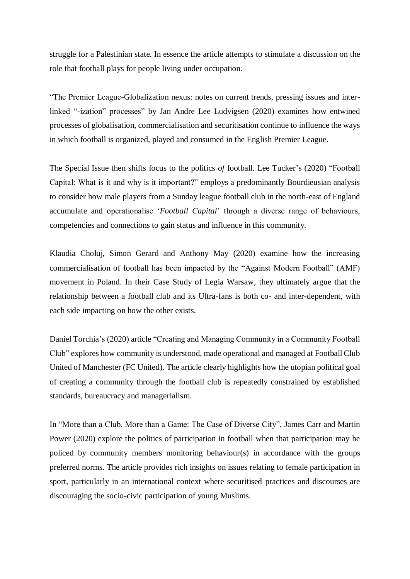struggle for a Palestinian state. In essence the article attempts to stimulate a discussion on the role that football plays for people living under occupation.

"The Premier League-Globalization nexus: notes on current trends, pressing issues and interlinked "-ization" processes" by Jan Andre Lee Ludvigsen (2020) examines how entwined processes of globalisation, commercialisation and securitisation continue to influence the ways in which football is organized, played and consumed in the English Premier League.

The Special Issue then shifts focus to the politics *of* football. Lee Tucker's (2020) "Football Capital: What is it and why is it important?" employs a predominantly Bourdieusian analysis to consider how male players from a Sunday league football club in the north-east of England accumulate and operationalise '*Football Capital*' through a diverse range of behaviours, competencies and connections to gain status and influence in this community.

Klaudia Choluj, Simon Gerard and Anthony May (2020) examine how the increasing commercialisation of football has been impacted by the "Against Modern Football" (AMF) movement in Poland. In their Case Study of Legia Warsaw, they ultimately argue that the relationship between a football club and its Ultra-fans is both co- and inter-dependent, with each side impacting on how the other exists.

Daniel Torchia's (2020) article "Creating and Managing Community in a Community Football Club" explores how community is understood, made operational and managed at Football Club United of Manchester (FC United). The article clearly highlights how the utopian political goal of creating a community through the football club is repeatedly constrained by established standards, bureaucracy and managerialism.

In "More than a Club, More than a Game: The Case of Diverse City", James Carr and Martin Power (2020) explore the politics of participation in football when that participation may be policed by community members monitoring behaviour(s) in accordance with the groups preferred norms. The article provides rich insights on issues relating to female participation in sport, particularly in an international context where securitised practices and discourses are discouraging the socio-civic participation of young Muslims.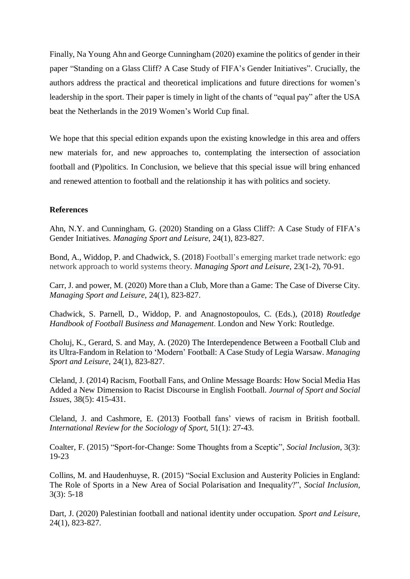Finally, Na Young Ahn and George Cunningham (2020) examine the politics of gender in their paper "Standing on a Glass Cliff? A Case Study of FIFA's Gender Initiatives". Crucially, the authors address the practical and theoretical implications and future directions for women's leadership in the sport. Their paper is timely in light of the chants of "equal pay" after the USA beat the Netherlands in the 2019 Women's World Cup final.

We hope that this special edition expands upon the existing knowledge in this area and offers new materials for, and new approaches to, contemplating the intersection of association football and (P)politics. In Conclusion, we believe that this special issue will bring enhanced and renewed attention to football and the relationship it has with politics and society.

## **References**

Ahn, N.Y. and Cunningham, G. (2020) Standing on a Glass Cliff?: A Case Study of FIFA's Gender Initiatives. *Managing Sport and Leisure*, 24(1), 823-827.

Bond, A., Widdop, P. and Chadwick, S. (2018) Football's emerging market trade network: ego network approach to world systems theory. *Managing Sport and Leisure*, 23(1-2), 70-91.

Carr, J. and power, M. (2020) More than a Club, More than a Game: The Case of Diverse City. *Managing Sport and Leisure*, 24(1), 823-827.

Chadwick, S. Parnell, D., Widdop, P. and Anagnostopoulos, C. (Eds.), (2018) *Routledge Handbook of Football Business and Management*. London and New York: Routledge.

Choluj, K., Gerard, S. and May, A. (2020) The Interdependence Between a Football Club and its Ultra-Fandom in Relation to 'Modern' Football: A Case Study of Legia Warsaw. *Managing Sport and Leisure*, 24(1), 823-827.

Cleland, J. (2014) Racism, Football Fans, and Online Message Boards: How Social Media Has Added a New Dimension to Racist Discourse in English Football. *Journal of Sport and Social Issues*, 38(5): 415-431.

Cleland, J. and Cashmore, E. (2013) Football fans' views of racism in British football. *International Review for the Sociology of Sport*, 51(1): 27-43.

Coalter, F. (2015) "Sport-for-Change: Some Thoughts from a Sceptic", *Social Inclusion*, 3(3): 19-23

Collins, M. and Haudenhuyse, R. (2015) "Social Exclusion and Austerity Policies in England: The Role of Sports in a New Area of Social Polarisation and Inequality?", *Social Inclusion*, 3(3): 5-18

Dart, J. (2020) Palestinian football and national identity under occupation*. Sport and Leisure*, 24(1), 823-827.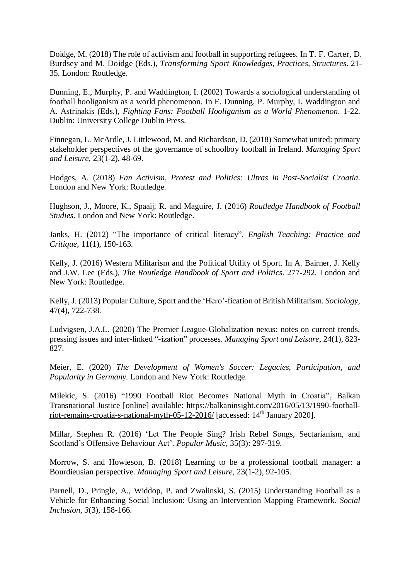Doidge, M. (2018) The role of activism and football in supporting refugees. In T. F. Carter, D. Burdsey and M. Doidge (Eds.), *Transforming Sport Knowledges, Practices, Structures*. 21- 35. London: Routledge.

Dunning, E., Murphy, P. and Waddington, I. (2002) Towards a sociological understanding of football hooliganism as a world phenomenon. In E. Dunning, P. Murphy, I. Waddington and A. Astrinakis (Eds.), *Fighting Fans: Football Hooliganism as a World Phenomenon*. 1-22. Dublin: University College Dublin Press.

Finnegan, L. McArdle, J. Littlewood, M. and Richardson, D. (2018) Somewhat united: primary stakeholder perspectives of the governance of schoolboy football in Ireland. *Managing Sport and Leisure*, 23(1-2), 48-69.

Hodges, A. (2018) *Fan Activism, Protest and Politics: Ultras in Post-Socialist Croatia*. London and New York: Routledge.

Hughson, J., Moore, K., Spaaij, R. and Maguire, J. (2016) *Routledge Handbook of Football Studies*. London and New York: Routledge.

Janks, H. (2012) "The importance of critical literacy", *English Teaching: Practice and Critique*, 11(1), 150-163.

Kelly, J. (2016) Western Militarism and the Political Utility of Sport. In A. Bairner, J. Kelly and J.W. Lee (Eds.), *The Routledge Handbook of Sport and Politics*. 277-292. London and New York: Routledge.

Kelly, J. (2013) Popular Culture, Sport and the 'Hero'-fication of British Militarism. *Sociology*, 47(4), 722-738.

Ludvigsen, J.A.L. (2020) The Premier League-Globalization nexus: notes on current trends, pressing issues and inter-linked "-ization" processes. *Managing Sport and Leisure*, 24(1), 823- 827.

Meier, E. (2020) *The Development of Women's Soccer: Legacies, Participation, and Popularity in Germany.* London and New York: Routledge.

Milekic, S. (2016) "1990 Football Riot Becomes National Myth in Croatia", Balkan Transnational Justice [online] available: [https://balkaninsight.com/2016/05/13/1990-football](https://balkaninsight.com/2016/05/13/1990-football-riot-remains-croatia-s-national-myth-05-12-2016/)[riot-remains-croatia-s-national-myth-05-12-2016/](https://balkaninsight.com/2016/05/13/1990-football-riot-remains-croatia-s-national-myth-05-12-2016/) [accessed: 14th January 2020].

Millar, Stephen R. (2016) 'Let The People Sing? Irish Rebel Songs, Sectarianism, and Scotland's Offensive Behaviour Act'. *Popular Music*, 35(3): 297-319.

Morrow, S. and Howieson, B. (2018) Learning to be a professional football manager: a Bourdieusian perspective. *Managing Sport and Leisure*, 23(1-2), 92-105.

Parnell, D., Pringle, A., Widdop, P. and Zwalinski, S. (2015) Understanding Football as a Vehicle for Enhancing Social Inclusion: Using an Intervention Mapping Framework. *Social Inclusion*, *3*(3), 158-166.